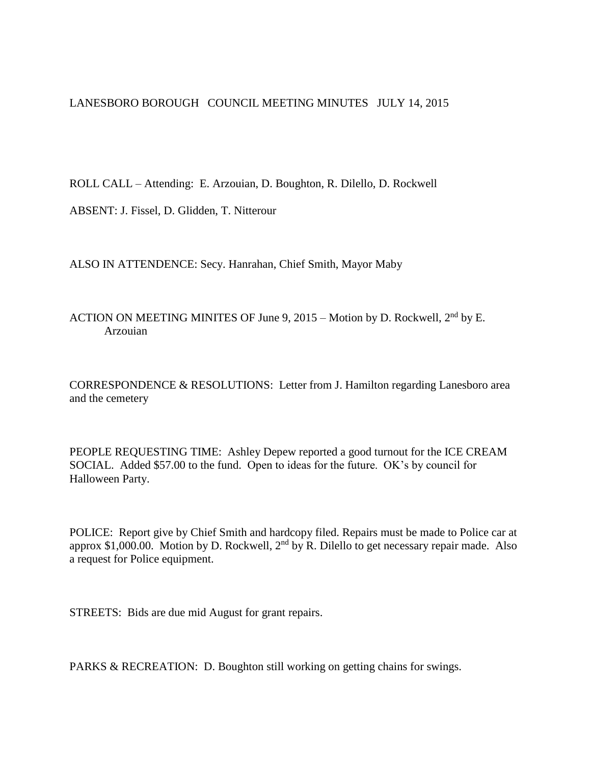LANESBORO BOROUGH COUNCIL MEETING MINUTES JULY 14, 2015

ROLL CALL – Attending: E. Arzouian, D. Boughton, R. Dilello, D. Rockwell

ABSENT: J. Fissel, D. Glidden, T. Nitterour

ALSO IN ATTENDENCE: Secy. Hanrahan, Chief Smith, Mayor Maby

ACTION ON MEETING MINITES OF June 9, 2015 – Motion by D. Rockwell,  $2<sup>nd</sup>$  by E. Arzouian

CORRESPONDENCE & RESOLUTIONS: Letter from J. Hamilton regarding Lanesboro area and the cemetery

PEOPLE REQUESTING TIME: Ashley Depew reported a good turnout for the ICE CREAM SOCIAL. Added \$57.00 to the fund. Open to ideas for the future. OK's by council for Halloween Party.

POLICE: Report give by Chief Smith and hardcopy filed. Repairs must be made to Police car at approx \$1,000.00. Motion by D. Rockwell,  $2<sup>nd</sup>$  by R. Dilello to get necessary repair made. Also a request for Police equipment.

STREETS: Bids are due mid August for grant repairs.

PARKS & RECREATION: D. Boughton still working on getting chains for swings.